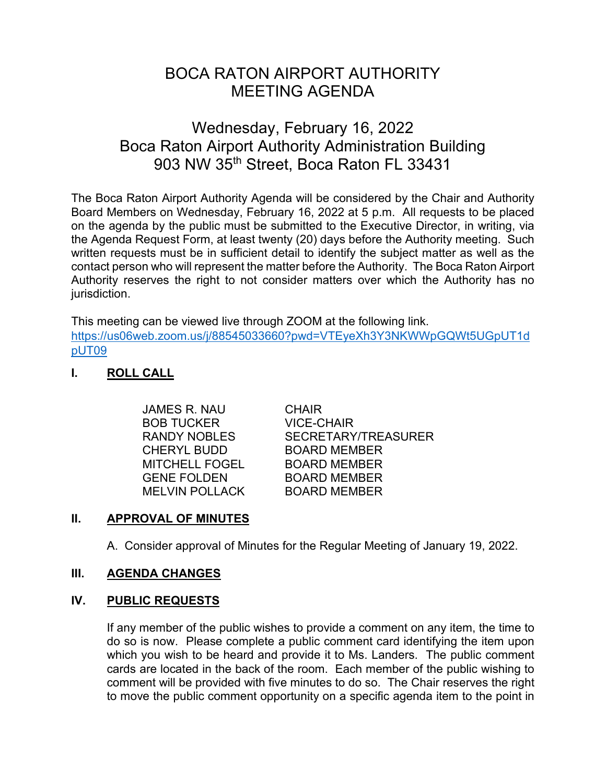# BOCA RATON AIRPORT AUTHORITY MEETING AGENDA

# Wednesday, February 16, 2022 Boca Raton Airport Authority Administration Building 903 NW 35th Street, Boca Raton FL 33431

The Boca Raton Airport Authority Agenda will be considered by the Chair and Authority Board Members on Wednesday, February 16, 2022 at 5 p.m. All requests to be placed on the agenda by the public must be submitted to the Executive Director, in writing, via the Agenda Request Form, at least twenty (20) days before the Authority meeting. Such written requests must be in sufficient detail to identify the subject matter as well as the contact person who will represent the matter before the Authority. The Boca Raton Airport Authority reserves the right to not consider matters over which the Authority has no jurisdiction.

This meeting can be viewed live through ZOOM at the following link. [https://us06web.zoom.us/j/88545033660?pwd=VTEyeXh3Y3NKWWpGQWt5UGpUT1d](https://us06web.zoom.us/j/88545033660?pwd=VTEyeXh3Y3NKWWpGQWt5UGpUT1dpUT09) [pUT09](https://us06web.zoom.us/j/88545033660?pwd=VTEyeXh3Y3NKWWpGQWt5UGpUT1dpUT09)

# **I. ROLL CALL**

| JAMES R. NAU        | <b>CHAIR</b>               |
|---------------------|----------------------------|
| <b>BOB TUCKER</b>   | <b>VICE-CHAIR</b>          |
| <b>RANDY NOBLES</b> | <b>SECRETARY/TREASURER</b> |
| CHERYL BUDD         | <b>BOARD MEMBER</b>        |
| MITCHELL FOGEL      | <b>BOARD MEMBER</b>        |
| <b>GENE FOLDEN</b>  | <b>BOARD MEMBER</b>        |
| MELVIN POLLACK      | <b>BOARD MEMBER</b>        |

# **II. APPROVAL OF MINUTES**

A. Consider approval of Minutes for the Regular Meeting of January 19, 2022.

# **III. AGENDA CHANGES**

# **IV. PUBLIC REQUESTS**

If any member of the public wishes to provide a comment on any item, the time to do so is now. Please complete a public comment card identifying the item upon which you wish to be heard and provide it to Ms. Landers. The public comment cards are located in the back of the room. Each member of the public wishing to comment will be provided with five minutes to do so. The Chair reserves the right to move the public comment opportunity on a specific agenda item to the point in